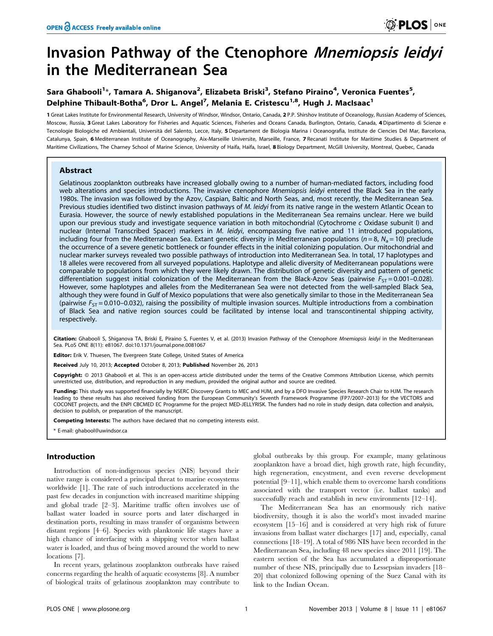# Invasion Pathway of the Ctenophore Mnemiopsis leidyi in the Mediterranean Sea

# Sara Ghabooli<sup>1</sup>\*, Tamara A. Shiganova<sup>2</sup>, Elizabeta Briski<sup>3</sup>, Stefano Piraino<sup>4</sup>, Veronica Fuentes<sup>5</sup>, Delphine Thibault-Botha<sup>6</sup>, Dror L. Angel<sup>7</sup>, Melania E. Cristescu<sup>1,8</sup>, Hugh J. MacIsaac<sup>1</sup>

1 Great Lakes Institute for Environmental Research, University of Windsor, Windsor, Ontario, Canada, 2 P.P. Shirshov Institute of Oceanology, Russian Academy of Sciences, Moscow, Russia, 3 Great Lakes Laboratory for Fisheries and Aquatic Sciences, Fisheries and Oceans Canada, Burlington, Ontario, Canada, 4 Dipartimento di Scienze e Tecnologie Biologiche ed Ambientali, Università del Salento, Lecce, Italy, 5 Departament de Biologia Marina i Oceanografia, Institute de Ciencies Del Mar, Barcelona, Catalunya, Spain, 6 Mediterranean Institute of Oceanography, Aix-Marseille Universite, Marseille, France, 7 Recanati Institute for Maritime Studies & Department of Maritime Civilizations, The Charney School of Marine Science, University of Haifa, Haifa, Israel, 8 Biology Department, McGill University, Montreal, Quebec, Canada

# Abstract

Gelatinous zooplankton outbreaks have increased globally owing to a number of human-mediated factors, including food web alterations and species introductions. The invasive ctenophore Mnemiopsis leidyi entered the Black Sea in the early 1980s. The invasion was followed by the Azov, Caspian, Baltic and North Seas, and, most recently, the Mediterranean Sea. Previous studies identified two distinct invasion pathways of M. leidyi from its native range in the western Atlantic Ocean to Eurasia. However, the source of newly established populations in the Mediterranean Sea remains unclear. Here we build upon our previous study and investigate sequence variation in both mitochondrial (Cytochrome c Oxidase subunit I) and nuclear (Internal Transcribed Spacer) markers in M. leidyi, encompassing five native and 11 introduced populations, including four from the Mediterranean Sea. Extant genetic diversity in Mediterranean populations ( $n = 8$ ,  $N_a = 10$ ) preclude the occurrence of a severe genetic bottleneck or founder effects in the initial colonizing population. Our mitochondrial and nuclear marker surveys revealed two possible pathways of introduction into Mediterranean Sea. In total, 17 haplotypes and 18 alleles were recovered from all surveyed populations. Haplotype and allelic diversity of Mediterranean populations were comparable to populations from which they were likely drawn. The distribution of genetic diversity and pattern of genetic differentiation suggest initial colonization of the Mediterranean from the Black-Azov Seas (pairwise  $F_{ST}$  = 0.001–0.028). However, some haplotypes and alleles from the Mediterranean Sea were not detected from the well-sampled Black Sea, although they were found in Gulf of Mexico populations that were also genetically similar to those in the Mediterranean Sea (pairwise  $F_{ST} = 0.010 - 0.032$ ), raising the possibility of multiple invasion sources. Multiple introductions from a combination of Black Sea and native region sources could be facilitated by intense local and transcontinental shipping activity, respectively.

Citation: Ghabooli S, Shiganova TA, Briski E, Piraino S, Fuentes V, et al. (2013) Invasion Pathway of the Ctenophore Mnemiopsis leidyi in the Mediterranean Sea. PLoS ONE 8(11): e81067. doi:10.1371/journal.pone.0081067

Editor: Erik V. Thuesen, The Evergreen State College, United States of America

Received July 10, 2013; Accepted October 8, 2013; Published November 26, 2013

**Copyright:** © 2013 Ghabooli et al. This is an open-access article distributed under the terms of the Creative Commons Attribution License, which permits unrestricted use, distribution, and reproduction in any medium, provided the original author and source are credited.

Funding: This study was supported financially by NSERC Discovery Grants to MEC and HJM, and by a DFO Invasive Species Research Chair to HJM. The research leading to these results has also received funding from the European Community's Seventh Framework Programme (FP7/2007–2013) for the VECTORS and COCONET projects, and the ENPI CBCMED EC Programme for the project MED-JELLYRISK. The funders had no role in study design, data collection and analysis, decision to publish, or preparation of the manuscript.

Competing Interests: The authors have declared that no competing interests exist.

\* E-mail: ghabool@uwindsor.ca

# Introduction

Introduction of non-indigenous species (NIS) beyond their native range is considered a principal threat to marine ecosystems worldwide [1]. The rate of such introductions accelerated in the past few decades in conjunction with increased maritime shipping and global trade [2–3]. Maritime traffic often involves use of ballast water loaded in source ports and later discharged in destination ports, resulting in mass transfer of organisms between distant regions [4–6]. Species with planktonic life stages have a high chance of interfacing with a shipping vector when ballast water is loaded, and thus of being moved around the world to new locations [7].

In recent years, gelatinous zooplankton outbreaks have raised concerns regarding the health of aquatic ecosystems [8]. A number of biological traits of gelatinous zooplankton may contribute to

global outbreaks by this group. For example, many gelatinous zooplankton have a broad diet, high growth rate, high fecundity, high regeneration, encystment, and even reverse development potential [9–11], which enable them to overcome harsh conditions associated with the transport vector (i.e. ballast tanks) and successfully reach and establish in new environments [12–14].

The Mediterranean Sea has an enormously rich native biodiversity, though it is also the world's most invaded marine ecosystem [15–16] and is considered at very high risk of future invasions from ballast water discharges [17] and, especially, canal connections [18–19]. A total of 986 NIS have been recorded in the Mediterranean Sea, including 48 new species since 2011 [19]. The eastern section of the Sea has accumulated a disproportionate number of these NIS, principally due to Lessepsian invaders [18– 20] that colonized following opening of the Suez Canal with its link to the Indian Ocean.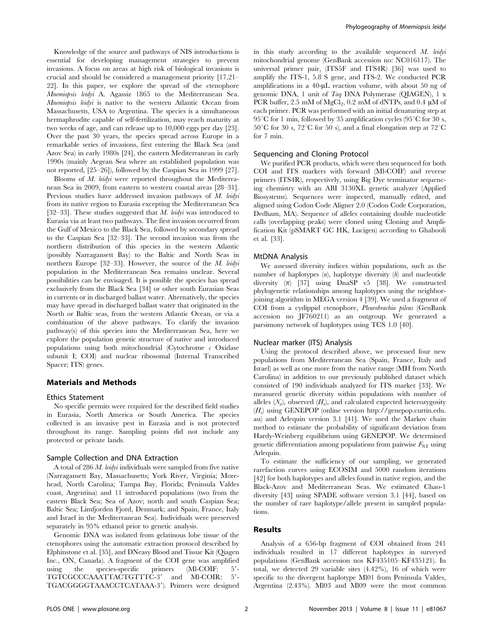Knowledge of the source and pathways of NIS introductions is essential for developing management strategies to prevent invasions. A focus on areas at high risk of biological invasions is crucial and should be considered a management priority [17,21– 22]. In this paper, we explore the spread of the ctenophore Mnemiopsis leidyi A. Agassiz 1865 to the Mediterranean Sea. Mnemiopsis leidyi is native to the western Atlantic Ocean from Massachusetts, USA to Argentina. The species is a simultaneous hermaphrodite capable of self-fertilization, may reach maturity at two weeks of age, and can release up to 10,000 eggs per day [23]. Over the past 30 years, the species spread across Europe in a remarkable series of invasions, first entering the Black Sea (and Azov Sea) in early 1980s [24], the eastern Mediterranean in early 1990s (mainly Aegean Sea where an established population was not reported, [25–26]), followed by the Caspian Sea in 1999 [27].

Blooms of M. leidyi were reported throughout the Mediterranean Sea in 2009, from eastern to western coastal areas [28–31]. Previous studies have addressed invasion pathways of M. leidyi from its native region to Eurasia excepting the Mediterranean Sea [32–33]. These studies suggested that M. leidyi was introduced to Eurasia via at least two pathways. The first invasion occurred from the Gulf of Mexico to the Black Sea, followed by secondary spread to the Caspian Sea [32–33]. The second invasion was from the northern distribution of this species in the western Atlantic (possibly Narragansett Bay) to the Baltic and North Seas in northern Europe [32-33]. However, the source of the M. leidyi population in the Mediterranean Sea remains unclear. Several possibilities can be envisaged. It is possible the species has spread exclusively from the Black Sea [34] or other south Eurasian Seas in currents or in discharged ballast water. Alternatively, the species may have spread in discharged ballast water that originated in the North or Baltic seas, from the western Atlantic Ocean, or via a combination of the above pathways. To clarify the invasion pathway(s) of this species into the Mediterranean Sea, here we explore the population genetic structure of native and introduced populations using both mitochondrial (Cytochrome  $c$  Oxidase subunit I; COI) and nuclear ribosomal (Internal Transcribed Spacer; ITS) genes.

## Materials and Methods

# Ethics Statement

No specific permits were required for the described field studies in Eurasia, North America or South America. The species collected is an invasive pest in Eurasia and is not protected throughout its range. Sampling points did not include any protected or private lands.

#### Sample Collection and DNA Extraction

A total of 286 M. leidyi individuals were sampled from five native (Narragansett Bay, Massachusetts; York River, Virginia; Morehead, North Carolina; Tampa Bay, Florida; Peninsula Valdes coast, Argentina) and 11 introduced populations (two from the eastern Black Sea; Sea of Azov; north and south Caspian Sea; Baltic Sea; Limfjorden Fjord, Denmark; and Spain, France, Italy and Israel in the Mediterranean Sea). Individuals were preserved separately in 95% ethanol prior to genetic analysis.

Genomic DNA was isolated from gelatinous lobe tissue of the ctenophores using the automatic extraction protocol described by Elphinstone et al. [35], and DNeasy Blood and Tissue Kit (Qiagen Inc., ON, Canada). A fragment of the COI gene was amplified<br>using the species-specific primers (MI-COIF: 5'using the species-specific primers  $(Ml-COIF: 5'$ -TGTCGCCCAAATTACTGTTTC-3' and Ml-COIR: 5'-TGACGGGGTAAACCTCATAAA-3'). Primers were designed in this study according to the available sequenced  $M$ . leidyi mitochondrial genome (GenBank accession no: NC016117). The universal primer pair, (ITS5F and ITS4R) [36] was used to amplify the ITS-1, 5.8 S gene, and ITS-2. We conducted PCR amplifications in a 40- $\mu$ L reaction volume, with about 50 ng of genomic DNA, 1 unit of Taq DNA Polymerase (QIAGEN), 1 x PCR buffer,  $2.5 \text{ mM of MgCl}_2$ ,  $0.2 \text{ mM of dNTPs}$ , and  $0.4 \mu \text{M of}$ each primer. PCR was performed with an initial denaturing step at 95<sup>°</sup>C for 1 min, followed by 35 amplification cycles (95<sup>°</sup>C for 30 s, 50°C for 30 s, 72°C for 50 s), and a final elongation step at 72°C for 7 min.

#### Sequencing and Cloning Protocol

We purified PCR products, which were then sequenced for both COI and ITS markers with forward (Ml-COIF) and reverse primers (ITS4R), respectively, using Big Dye terminator sequencing chemistry with an ABI 3130XL genetic analyzer (Applied Biosystems). Sequences were inspected, manually edited, and aligned using Codon Code Aligner 2.0 (Codon Code Corporation, Dedham, MA). Sequence of alleles containing double nucleotide calls (overlapping peaks) were cloned using Cloning and Amplification Kit (pSMART GC HK, Lucigen) according to Ghabooli et al. [33].

#### MtDNA Analysis

We assessed diversity indices within populations, such as the number of haplotypes  $(n)$ , haplotype diversity  $(h)$  and nucleotide diversity  $(\pi)$  [37] using DnaSP v5 [38]. We constructed phylogenetic relationships among haplotypes using the neighborjoining algorithm in MEGA version 4 [39]. We used a fragment of COI from a cydippid ctenophore, Pleurobrachia pileus (GenBank accession no JF760211) as an outgroup. We generated a parsimony network of haplotypes using TCS 1.0 [40].

#### Nuclear marker (ITS) Analysis

Using the protocol described above, we processed four new populations from Mediterranean Sea (Spain, France, Italy and Israel) as well as one more from the native range (MH from North Carolina) in addition to our previously published dataset which consisted of 190 individuals analyzed for ITS marker [33]. We measured genetic diversity within populations with number of alleles  $(N_a)$ , observed  $(H_a)$ , and calculated expected heterozygosity  $(H_e)$  using GENEPOP (online version http://genepop.curtin.edu. au) and Arlequin version 3.1 [41]. We used the Markov chain method to estimate the probability of significant deviation from Hardy-Weinberg equilibrium using GENEPOP. We determined genetic differentiation among populations from pairwise  $F_{ST}$  using Arlequin.

To estimate the sufficiency of our sampling, we generated rarefaction curves using ECOSIM and 5000 random iterations [42] for both haplotypes and alleles found in native region, and the Black-Azov and Mediterranean Seas. We estimated Chao-1 diversity [43] using SPADE software version 3.1 [44], based on the number of rare haplotype/allele present in sampled populations.

# Results

Analysis of a 656-bp fragment of COI obtained from 241 individuals resulted in 17 different haplotypes in surveyed populations (GenBank accession nos KF435105–KF435121). In total, we detected 29 variable sites (4.42%), 16 of which were specific to the divergent haplotype Ml01 from Peninsula Valdes, Argentina (2.43%). Ml03 and Ml09 were the most common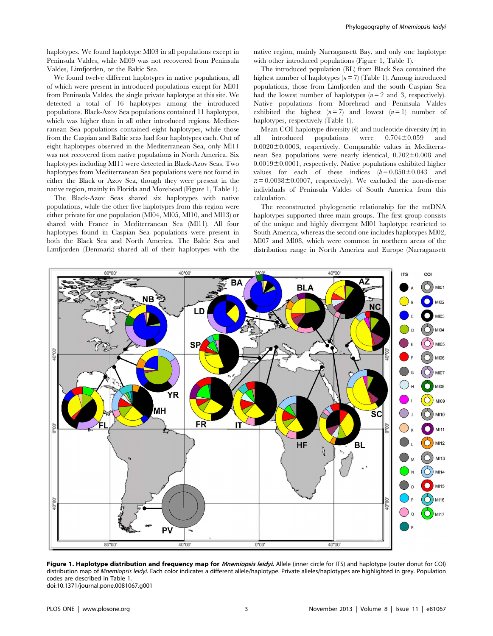haplotypes. We found haplotype Ml03 in all populations except in Peninsula Valdes, while Ml09 was not recovered from Peninsula Valdes, Limfjorden, or the Baltic Sea.

We found twelve different haplotypes in native populations, all of which were present in introduced populations except for Ml01 from Peninsula Valdes, the single private haplotype at this site. We detected a total of 16 haplotypes among the introduced populations. Black-Azov Sea populations contained 11 haplotypes, which was higher than in all other introduced regions. Mediterranean Sea populations contained eight haplotypes, while those from the Caspian and Baltic seas had four haplotypes each. Out of eight haplotypes observed in the Mediterranean Sea, only Ml11 was not recovered from native populations in North America. Six haplotypes including Ml11 were detected in Black-Azov Seas. Two haplotypes from Mediterranean Sea populations were not found in either the Black or Azov Sea, though they were present in the native region, mainly in Florida and Morehead (Figure 1, Table 1).

The Black-Azov Seas shared six haplotypes with native populations, while the other five haplotypes from this region were either private for one population (Ml04, Ml05, Ml10, and Ml13) or shared with France in Mediterranean Sea (Ml11). All four haplotypes found in Caspian Sea populations were present in both the Black Sea and North America. The Baltic Sea and Limfjorden (Denmark) shared all of their haplotypes with the native region, mainly Narragansett Bay, and only one haplotype with other introduced populations (Figure 1, Table 1).

The introduced population (BL) from Black Sea contained the highest number of haplotypes  $(n = 7)$  (Table 1). Among introduced populations, those from Limfjorden and the south Caspian Sea had the lowest number of haplotypes  $(n=2 \text{ and } 3, \text{ respectively}).$ Native populations from Morehead and Peninsula Valdes exhibited the highest  $(n=7)$  and lowest  $(n=1)$  number of haplotypes, respectively (Table 1).

Mean COI haplotype diversity  $(h)$  and nucleotide diversity  $(\pi)$  in all introduced populations were  $0.704 \pm 0.059$  and  $0.0020 \pm 0.0003$ , respectively. Comparable values in Mediterranean Sea populations were nearly identical,  $0.702 \pm 0.008$  and  $0.0019\pm0.0001$ , respectively. Native populations exhibited higher values for each of these indices  $(h= 0.850 \pm 0.043$  and  $\pi = 0.0038 \pm 0.0007$ , respectively). We excluded the non-diverse individuals of Peninsula Valdes of South America from this calculation.

The reconstructed phylogenetic relationship for the mtDNA haplotypes supported three main groups. The first group consists of the unique and highly divergent Ml01 haplotype restricted to South America, whereas the second one includes haplotypes Ml02, Ml07 and Ml08, which were common in northern areas of the distribution range in North America and Europe (Narragansett



Figure 1. Haplotype distribution and frequency map for *Mnemiopsis leidyi*. Allele (inner circle for ITS) and haplotype (outer donut for COI) distribution map of Mnemiopsis leidyi. Each color indicates a different allele/haplotype. Private alleles/haplotypes are highlighted in grey. Population codes are described in Table 1. doi:10.1371/journal.pone.0081067.g001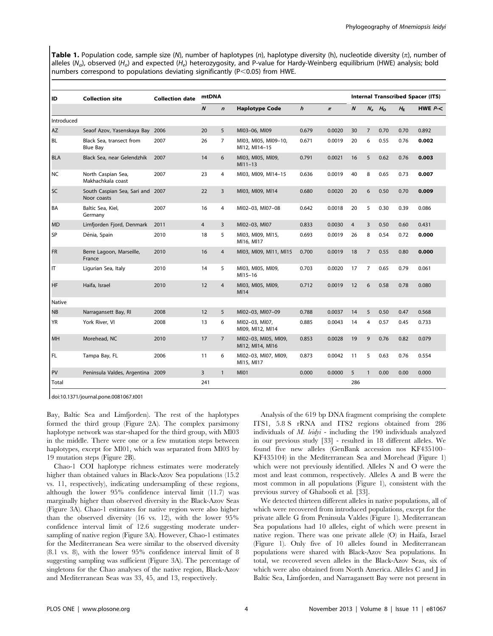Table 1. Population code, sample size (N), number of haplotypes (n), haplotype diversity (h), nucleotide diversity  $(\pi)$ , number of alleles ( $N_a$ ), observed (H<sub>a</sub>) and expected (H<sub>a</sub>) heterozygosity, and P-value for Hardy-Weinberg equilibrium (HWE) analysis; bold numbers correspond to populations deviating significantly ( $P < 0.05$ ) from HWE.

| ID         | <b>Collection site</b>                          | <b>Collection date</b> | <b>mtDNA</b>                         |                                       |                                          |                  | <b>Internal Transcribed Spacer (ITS)</b> |                  |                |             |             |          |
|------------|-------------------------------------------------|------------------------|--------------------------------------|---------------------------------------|------------------------------------------|------------------|------------------------------------------|------------------|----------------|-------------|-------------|----------|
|            |                                                 |                        | $\boldsymbol{N}$<br>$\boldsymbol{n}$ |                                       | <b>Haplotype Code</b>                    | $\boldsymbol{h}$ | $\pi$                                    | $\boldsymbol{N}$ |                | $N_a$ $H_0$ | $H_{\rm E}$ | HWE $P<$ |
| Introduced |                                                 |                        |                                      |                                       |                                          |                  |                                          |                  |                |             |             |          |
| AZ         | Seaof Azov, Yasenskaya Bay 2006                 |                        | 20<br>5                              |                                       | MI03-06, MI09                            | 0.679            | 0.0020                                   | 30               | $\overline{7}$ | 0.70        | 0.70        | 0.892    |
| BL         | Black Sea, transect from<br>Blue Bay            | 2007                   | 26                                   | $\overline{7}$                        | MI03, MI05, MI09-10,<br>MI12, MI14-15    | 0.671            | 0.0019                                   | 20               | 6              | 0.55        | 0.76        | 0.002    |
| <b>BLA</b> | Black Sea, near Gelendzhik                      | 2007                   | 14                                   | MI03, MI05, MI09,<br>6<br>$M111 - 13$ |                                          | 0.791            | 0.0021                                   | 16               | 5              | 0.62        | 0.76        | 0.003    |
| <b>NC</b>  | North Caspian Sea,<br>Makhachkala coast         | 2007                   | 23                                   | $\overline{4}$                        | MI03, MI09, MI14-15                      | 0.636            | 0.0019                                   | 40               | 8              | 0.65        | 0.73        | 0.007    |
| SC         | South Caspian Sea, Sari and 2007<br>Noor coasts |                        | 22                                   | 3                                     | MI03, MI09, MI14                         | 0.680            | 0.0020                                   | 20               | 6              | 0.50        | 0.70        | 0.009    |
| BA         | Baltic Sea, Kiel,<br>Germany                    | 2007                   | 16                                   | MI02-03, MI07-08<br>4                 |                                          | 0.642            | 0.0018                                   | 20               | 5              | 0.30        | 0.39        | 0.086    |
| <b>MD</b>  | Limfjorden Fjord, Denmark                       | 2011                   | $\overline{4}$                       | 3                                     | MI02-03, MI07                            | 0.833            | 0.0030                                   | $\overline{4}$   | $\overline{3}$ | 0.50        | 0.60        | 0.431    |
| SP         | Dénia, Spain                                    | 2010                   | 18                                   | 5                                     | MI03, MI09, MI15,<br>MI16, MI17          | 0.693            | 0.0019                                   | 26               | 8              | 0.54        | 0.72        | 0.000    |
| <b>FR</b>  | Berre Lagoon, Marseille,<br>France              | 2010                   | 16                                   | $\overline{4}$                        | MI03, MI09, MI11, MI15                   | 0.700            | 0.0019                                   | 18               | $\overline{7}$ | 0.55        | 0.80        | 0.000    |
| IT         | Ligurian Sea, Italy                             | 2010                   | 14                                   | 5                                     | MI03, MI05, MI09,<br>MI15-16             | 0.703            | 0.0020                                   | 17               | 7              | 0.65        | 0.79        | 0.061    |
| <b>HF</b>  | Haifa, Israel                                   | 2010                   | 12                                   | $\overline{4}$                        | MI03, MI05, MI09,<br>MI14                | 0.712            | 0.0019                                   | 12               | 6              | 0.58        | 0.78        | 0.080    |
| Native     |                                                 |                        |                                      |                                       |                                          |                  |                                          |                  |                |             |             |          |
| <b>NB</b>  | Narragansett Bay, RI                            | 2008                   | 12                                   | 5                                     | MI02-03, MI07-09                         | 0.788            | 0.0037                                   | 14               | 5              | 0.50        | 0.47        | 0.568    |
| <b>YR</b>  | York River, VI                                  | 2008                   | 13                                   | 6                                     | MI02-03, MI07,<br>MI09, MI12, MI14       | 0.885            | 0.0043                                   | 14               | 4              | 0.57        | 0.45        | 0.733    |
| MH         | Morehead, NC                                    | 2010                   | 17                                   | $\overline{7}$                        | MI02-03, MI05, MI09,<br>MI12, MI14, MI16 | 0.853            | 0.0028                                   | 19               | 9              | 0.76        | 0.82        | 0.079    |
| FL.        | Tampa Bay, FL                                   | 2006                   | 11                                   | 6                                     | MI02-03, MI07, MI09,<br>MI15, MI17       | 0.873            | 0.0042                                   | 11               | 5              | 0.63        | 0.76        | 0.554    |
| PV         | Peninsula Valdes, Argentina 2009                |                        | 3                                    | $\mathbf{1}$                          | <b>MI01</b>                              | 0.000            | 0.0000                                   | 5                | $\mathbf{1}$   | 0.00        | 0.00        | 0.000    |
| Total      |                                                 |                        | 241                                  |                                       |                                          |                  |                                          | 286              |                |             |             |          |

doi:10.1371/journal.pone.0081067.t001

Bay, Baltic Sea and Limfjorden). The rest of the haplotypes formed the third group (Figure 2A). The complex parsimony haplotype network was star-shaped for the third group, with Ml03 in the middle. There were one or a few mutation steps between haplotypes, except for Ml01, which was separated from Ml03 by 19 mutation steps (Figure 2B).

Chao-1 COI haplotype richness estimates were moderately higher than obtained values in Black-Azov Sea populations (15.2 vs. 11, respectively), indicating undersampling of these regions, although the lower 95% confidence interval limit (11.7) was marginally higher than observed diversity in the Black-Azov Seas (Figure 3A). Chao-1 estimates for native region were also higher than the observed diversity (16 vs. 12), with the lower 95% confidence interval limit of 12.6 suggesting moderate undersampling of native region (Figure 3A). However, Chao-1 estimates for the Mediterranean Sea were similar to the observed diversity (8.1 vs. 8), with the lower 95% confidence interval limit of 8 suggesting sampling was sufficient (Figure 3A). The percentage of singletons for the Chao analyses of the native region, Black-Azov and Mediterranean Seas was 33, 45, and 13, respectively.

Analysis of the 619 bp DNA fragment comprising the complete ITS1, 5.8 S rRNA and ITS2 regions obtained from 286 individuals of  $M$ . *leidyi* - including the 190 individuals analyzed in our previous study [33] - resulted in 18 different alleles. We found five new alleles (GenBank accession nos KF435100– KF435104) in the Mediterranean Sea and Morehead (Figure 1) which were not previously identified. Alleles N and O were the most and least common, respectively. Alleles A and B were the most common in all populations (Figure 1), consistent with the previous survey of Ghabooli et al. [33].

We detected thirteen different alleles in native populations, all of which were recovered from introduced populations, except for the private allele G from Peninsula Valdes (Figure 1). Mediterranean Sea populations had 10 alleles, eight of which were present in native region. There was one private allele (O) in Haifa, Israel (Figure 1). Only five of 10 alleles found in Mediterranean populations were shared with Black-Azov Sea populations. In total, we recovered seven alleles in the Black-Azov Seas, six of which were also obtained from North America. Alleles C and J in Baltic Sea, Limfjorden, and Narragansett Bay were not present in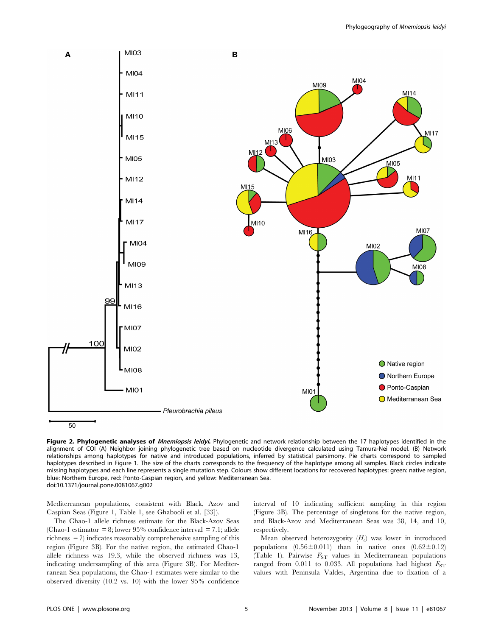

Figure 2. Phylogenetic analyses of *Mnemiopsis leidyi*. Phylogenetic and network relationship between the 17 haplotypes identified in the alignment of COI (A) Neighbor joining phylogenetic tree based on nucleotide divergence calculated using Tamura-Nei model. (B) Network relationships among haplotypes for native and introduced populations, inferred by statistical parsimony. Pie charts correspond to sampled haplotypes described in Figure 1. The size of the charts corresponds to the frequency of the haplotype among all samples. Black circles indicate missing haplotypes and each line represents a single mutation step. Colours show different locations for recovered haplotypes: green: native region, blue: Northern Europe, red: Ponto-Caspian region, and yellow: Mediterranean Sea. doi:10.1371/journal.pone.0081067.g002

Mediterranean populations, consistent with Black, Azov and Caspian Seas (Figure 1, Table 1, see Ghabooli et al. [33]).

The Chao-1 allele richness estimate for the Black-Azov Seas (Chao-1 estimator = 8; lower 95% confidence interval = 7.1; allele richness = 7) indicates reasonably comprehensive sampling of this region (Figure 3B). For the native region, the estimated Chao-1 allele richness was 19.3, while the observed richness was 13, indicating undersampling of this area (Figure 3B). For Mediterranean Sea populations, the Chao-1 estimates were similar to the observed diversity (10.2 vs. 10) with the lower 95% confidence

interval of 10 indicating sufficient sampling in this region (Figure 3B). The percentage of singletons for the native region, and Black-Azov and Mediterranean Seas was 38, 14, and 10, respectively.

Mean observed heterozygosity  $(H<sub>o</sub>)$  was lower in introduced populations  $(0.56\pm0.011)$  than in native ones  $(0.62\pm0.12)$ (Table 1). Pairwise  $F_{ST}$  values in Mediterranean populations ranged from 0.011 to 0.033. All populations had highest  $F_{ST}$ values with Peninsula Valdes, Argentina due to fixation of a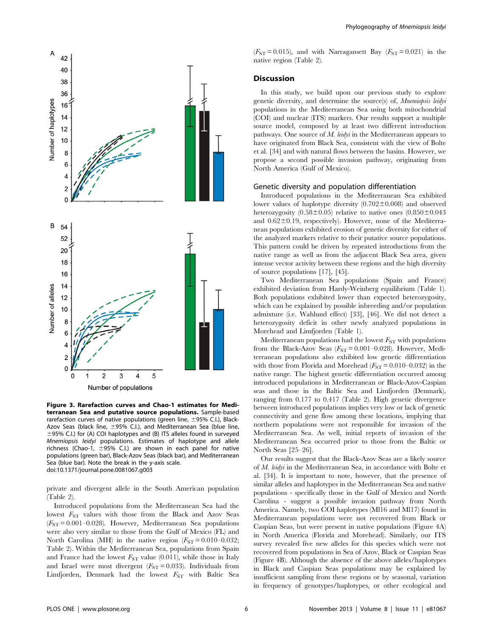

Figure 3. Rarefaction curves and Chao-1 estimates for Mediterranean Sea and putative source populations. Sample-based rarefaction curves of native populations (green line,  $\pm$ 95% C.I.), Black-Azov Seas (black line,  $\pm$ 95% C.I.), and Mediterranean Sea (blue line,  $\pm$ 95% C.I.) for (A) COI haplotypes and (B) ITS alleles found in surveyed Mnemiopsis leidyi populations. Estimates of haplotype and allele richness (Chao-1,  $\pm$ 95% C.I.) are shown in each panel for native populations (green bar), Black-Azov Seas (black bar), and Mediterranean Sea (blue bar). Note the break in the y-axis scale. doi:10.1371/journal.pone.0081067.g003

private and divergent allele in the South American population (Table 2).

Introduced populations from the Mediterranean Sea had the lowest  $F_{ST}$  values with those from the Black and Azov Seas  $(F_{ST} = 0.001 - 0.028)$ . However, Mediterranean Sea populations were also very similar to those from the Gulf of Mexico (FL) and North Carolina (MH) in the native region  $(F_{ST} = 0.010 - 0.032)$ ; Table 2). Within the Mediterranean Sea, populations from Spain and France had the lowest  $F_{ST}$  value (0.011), while those in Italy and Israel were most divergent  $(F_{ST} = 0.033)$ . Individuals from Limfjorden, Denmark had the lowest  $F_{ST}$  with Baltic Sea

 $(F_{ST} = 0.015)$ , and with Narragansett Bay  $(F_{ST} = 0.021)$  in the native region (Table 2).

# Discussion

In this study, we build upon our previous study to explore genetic diversity, and determine the source(s) of, Mnemiopsis leidyi populations in the Mediterranean Sea using both mitochondrial (COI) and nuclear (ITS) markers. Our results support a multiple source model, composed by at least two different introduction pathways. One source of M. leidyi in the Mediterranean appears to have originated from Black Sea, consistent with the view of Bolte et al. [34] and with natural flows between the basins. However, we propose a second possible invasion pathway, originating from North America (Gulf of Mexico).

#### Genetic diversity and population differentiation

Introduced populations in the Mediterranean Sea exhibited lower values of haplotype diversity  $(0.702 \pm 0.008)$  and observed heterozygosity  $(0.58\pm0.05)$  relative to native ones  $(0.850\pm0.043)$ and  $0.62\pm0.19$ , respectively). However, none of the Mediterranean populations exhibited erosion of genetic diversity for either of the analyzed markers relative to their putative source populations. This pattern could be driven by repeated introductions from the native range as well as from the adjacent Black Sea area, given intense vector activity between these regions and the high diversity of source populations [17], [45].

Two Mediterranean Sea populations (Spain and France) exhibited deviation from Hardy-Weinberg equilibrium (Table 1). Both populations exhibited lower than expected heterozygosity, which can be explained by possible inbreeding and/or population admixture (i.e. Wahlund effect) [33], [46]. We did not detect a heterozygosity deficit in other newly analyzed populations in Morehead and Limfjorden (Table 1).

Mediterranean populations had the lowest  $F_{ST}$  with populations from the Black-Azov Seas  $(F_{ST} = 0.001 - 0.028)$ . However, Mediterranean populations also exhibited low genetic differentiation with those from Florida and Morehead ( $F_{ST} = 0.010 - 0.032$ ) in the native range. The highest genetic differentiation occurred among introduced populations in Mediterranean or Black-Azov-Caspian seas and those in the Baltic Sea and Limfjorden (Denmark), ranging from 0.177 to 0.417 (Table 2). High genetic divergence between introduced populations implies very low or lack of genetic connectivity and gene flow among these locations, implying that northern populations were not responsible for invasion of the Mediterranean Sea. As well, initial reports of invasion of the Mediterranean Sea occurred prior to those from the Baltic or North Seas [25–26].

Our results suggest that the Black-Azov Seas are a likely source of M. leidyi in the Mediterranean Sea, in accordance with Bolte et al. [34]. It is important to note, however, that the presence of similar alleles and haplotypes in the Mediterranean Sea and native populations - specifically those in the Gulf of Mexico and North Carolina - suggest a possible invasion pathway from North America. Namely, two COI haplotypes (Ml16 and Ml17) found in Mediterranean populations were not recovered from Black or Caspian Seas, but were present in native populations (Figure 4A) in North America (Florida and Morehead). Similarly, our ITS survey revealed five new alleles for this species which were not recovered from populations in Sea of Azov, Black or Caspian Seas (Figure 4B). Although the absence of the above alleles/haplotypes in Black and Caspian Seas populations may be explained by insufficient sampling from these regions or by seasonal, variation in frequency of genotypes/haplotypes, or other ecological and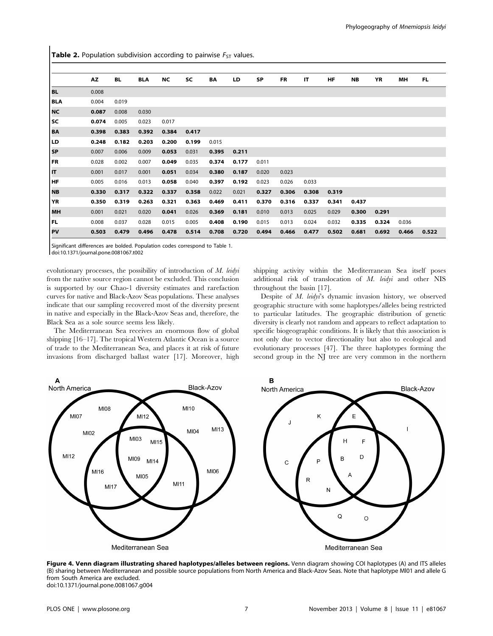**Table 2.** Population subdivision according to pairwise  $F_{ST}$  values.

|            | <b>AZ</b> | <b>BL</b> | <b>BLA</b> | <b>NC</b> | <b>SC</b> | BA    | LD    | <b>SP</b> | FR    | IT    | <b>HF</b> | NB    | YR    | MН    | FL.   |
|------------|-----------|-----------|------------|-----------|-----------|-------|-------|-----------|-------|-------|-----------|-------|-------|-------|-------|
| BL.        | 0.008     |           |            |           |           |       |       |           |       |       |           |       |       |       |       |
| <b>BLA</b> | 0.004     | 0.019     |            |           |           |       |       |           |       |       |           |       |       |       |       |
| NC         | 0.087     | 0.008     | 0.030      |           |           |       |       |           |       |       |           |       |       |       |       |
| lsc        | 0.074     | 0.005     | 0.023      | 0.017     |           |       |       |           |       |       |           |       |       |       |       |
| BA         | 0.398     | 0.383     | 0.392      | 0.384     | 0.417     |       |       |           |       |       |           |       |       |       |       |
| <b>LD</b>  | 0.248     | 0.182     | 0.203      | 0.200     | 0.199     | 0.015 |       |           |       |       |           |       |       |       |       |
| l SP       | 0.007     | 0.006     | 0.009      | 0.053     | 0.031     | 0.395 | 0.211 |           |       |       |           |       |       |       |       |
| FR         | 0.028     | 0.002     | 0.007      | 0.049     | 0.035     | 0.374 | 0.177 | 0.011     |       |       |           |       |       |       |       |
| lп         | 0.001     | 0.017     | 0.001      | 0.051     | 0.034     | 0.380 | 0.187 | 0.020     | 0.023 |       |           |       |       |       |       |
| HF         | 0.005     | 0.016     | 0.013      | 0.058     | 0.040     | 0.397 | 0.192 | 0.023     | 0.026 | 0.033 |           |       |       |       |       |
| NB         | 0.330     | 0.317     | 0.322      | 0.337     | 0.358     | 0.022 | 0.021 | 0.327     | 0.306 | 0.308 | 0.319     |       |       |       |       |
| <b>YR</b>  | 0.350     | 0.319     | 0.263      | 0.321     | 0.363     | 0.469 | 0.411 | 0.370     | 0.316 | 0.337 | 0.341     | 0.437 |       |       |       |
| <b>MH</b>  | 0.001     | 0.021     | 0.020      | 0.041     | 0.026     | 0.369 | 0.181 | 0.010     | 0.013 | 0.025 | 0.029     | 0.300 | 0.291 |       |       |
| FL.        | 0.008     | 0.037     | 0.028      | 0.015     | 0.005     | 0.408 | 0.190 | 0.015     | 0.013 | 0.024 | 0.032     | 0.335 | 0.324 | 0.036 |       |
| PV         | 0.503     | 0.479     | 0.496      | 0.478     | 0.514     | 0.708 | 0.720 | 0.494     | 0.466 | 0.477 | 0.502     | 0.681 | 0.692 | 0.466 | 0.522 |

Significant differences are bolded. Population codes correspond to Table 1.

doi:10.1371/journal.pone.0081067.t002

evolutionary processes, the possibility of introduction of M. leidyi from the native source region cannot be excluded. This conclusion is supported by our Chao-1 diversity estimates and rarefaction curves for native and Black-Azov Seas populations. These analyses indicate that our sampling recovered most of the diversity present in native and especially in the Black-Azov Seas and, therefore, the Black Sea as a sole source seems less likely.

The Mediterranean Sea receives an enormous flow of global shipping [16–17]. The tropical Western Atlantic Ocean is a source of trade to the Mediterranean Sea, and places it at risk of future invasions from discharged ballast water [17]. Moreover, high shipping activity within the Mediterranean Sea itself poses additional risk of translocation of M. leidyi and other NIS throughout the basin [17].

Despite of M. leidyi's dynamic invasion history, we observed geographic structure with some haplotypes/alleles being restricted to particular latitudes. The geographic distribution of genetic diversity is clearly not random and appears to reflect adaptation to specific biogeographic conditions. It is likely that this association is not only due to vector directionality but also to ecological and evolutionary processes [47]. The three haplotypes forming the second group in the NJ tree are very common in the northern



Figure 4. Venn diagram illustrating shared haplotypes/alleles between regions. Venn diagram showing COI haplotypes (A) and ITS alleles (B) sharing between Mediterranean and possible source populations from North America and Black-Azov Seas. Note that haplotype Ml01 and allele G from South America are excluded. doi:10.1371/journal.pone.0081067.g004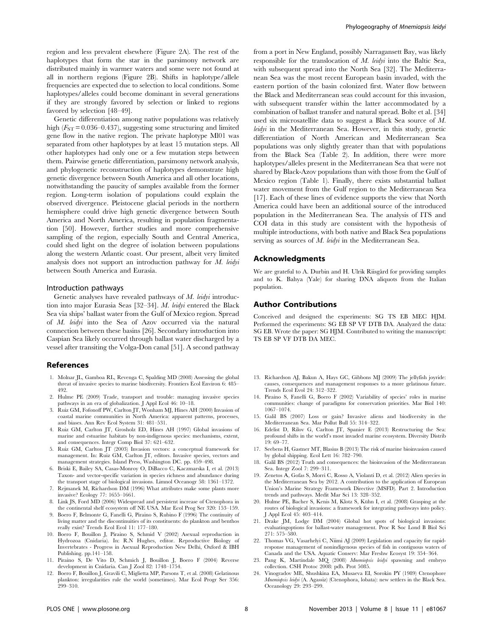region and less prevalent elsewhere (Figure 2A). The rest of the haplotypes that form the star in the parsimony network are distributed mainly in warmer waters and some were not found at all in northern regions (Figure 2B). Shifts in haplotype/allele frequencies are expected due to selection to local conditions. Some haplotypes/alleles could become dominant in several generations if they are strongly favored by selection or linked to regions favored by selection [48–49].

Genetic differentiation among native populations was relatively high  $(F_{ST} = 0.036 - 0.437)$ , suggesting some structuring and limited gene flow in the native region. The private haplotype Ml01 was separated from other haplotypes by at least 15 mutation steps. All other haplotypes had only one or a few mutation steps between them. Pairwise genetic differentiation, parsimony network analysis, and phylogenetic reconstruction of haplotypes demonstrate high genetic divergence between South America and all other locations, notwithstanding the paucity of samples available from the former region. Long-term isolation of populations could explain the observed divergence. Pleistocene glacial periods in the northern hemisphere could drive high genetic divergence between South America and North America, resulting in population fragmentation [50]. However, further studies and more comprehensive sampling of the region, especially South and Central America, could shed light on the degree of isolation between populations along the western Atlantic coast. Our present, albeit very limited analysis does not support an introduction pathway for M. leidyi between South America and Eurasia.

#### Introduction pathways

Genetic analyses have revealed pathways of M. leidyi introduction into major Eurasia Seas [32–34]. M. leidyi entered the Black Sea via ships' ballast water from the Gulf of Mexico region. Spread of M. leidyi into the Sea of Azov occurred via the natural connection between these basins [26]. Secondary introduction into Caspian Sea likely occurred through ballast water discharged by a vessel after transiting the Volga-Don canal [51]. A second pathway

# References

299–310.

- 1. Molnar JL, Gamboa RL, Revenga C, Spalding MD (2008) Assessing the global threat of invasive species to marine biodiversity. Frontiers Ecol Environ 6: 485– 492.
- 2. Hulme PE (2009) Trade, transport and trouble: managing invasive species pathways in an era of globalization. J Appl Ecol 46: 10–18.
- 3. Ruiz GM, Fofonoff PW, Carlton JT, Wonham MJ, Hines AH (2000) Invasion of coastal marine communities in North America: apparent patterns, processes, and biases. Ann Rev Ecol System 31: 481–531.
- 4. Ruiz GM, Carlton JT, Grosholz ED, Hines AH (1997) Global invasions of marine and estuarine habitats by non-indigenous species: mechanisms, extent, and consequences. Integr Comp Biol 37: 621–632.
- 5. Ruiz GM, Carlton JT (2003) Invasion vectors: a conceptual framework for management. In: Ruiz GM, Carlton JT, editors. Invasive species, vectors and management strategies. Island Press, Washington DC. pp. 459–498.
- 6. Briski E, Bailey SA, Casas-Monroy O, DiBacco C, Kaczmarska I, et al. (2013) Taxon- and vector-specific variation in species richness and abundance during the transport stage of biological invasions. Limnol Oceanogr 58: 1361–1372.
- 7. Rejmanek M, Richardson DM (1996) What attributes make some plants more invasive? Ecology 77: 1655–1661.
- 8. Link JS, Ford MD (2006) Widespread and persistent increase of Ctenophora in the continental shelf ecosystem off NE USA. Mar Ecol Prog Ser 320: 153–159.
- 9. Boero F, Belmonte G, Fanelli G, Piraino S, Rubino F (1996) The continuity of living matter and the discontinuities of its constituents: do plankton and benthos really exist? Trends Ecol Evol 11: 177–180.
- 10. Boero F, Bouillon J, Piraino S, Schmid V (2002) Asexual reproduction in Hydrozoa (Cnidaria). In: R.N Hughes, editor. Reproductive Biology of Invertebrates - Progress in Asexual Reproduction New Delhi, Oxford & IBH Publishing. pp.141–158.
- 11. Piraino S, De Vito D, Schmich J, Bouillon J, Boero F (2004) Reverse development in Cnidaria. Can J Zool 82: 1748–1754. 12. Boero F, Bouillon J, Gravili C, Miglietta MP, Parsons T, et al. (2008) Gelatinous

SG EB. Wrote the paper: SG HJM. Contributed to writing the manuscript: TS EB SP VF DTB DA MEC.

population.

Acknowledgments

Author Contributions

13. Richardson AJ, Bakun A, Hays GC, Gibbons MJ (2009) The jellyfish joyride: causes, consequences and management responses to a more gelatinous future. Trends Ecol Evol 24: 312–322.

We are grateful to A. Durbin and H. Ulrik Riisgård for providing samples and to K. Bahya (Yale) for sharing DNA aliquots from the Italian

Conceived and designed the experiments: SG TS EB MEC HJM. Performed the experiments: SG EB SP VF DTB DA. Analyzed the data:

- 14. Piraino S, Fanelli G, Boero F (2002) Variability of species' roles in marine communities: change of paradigms for conservation priorities. Mar Biol 140: 1067–1074.
- 15. Galil BS (2007) Loss or gain? Invasive aliens and biodiversity in the Mediterranean Sea. Mar Pollut Bull 55: 314–322.
- 16. Edelist D, Rilov G, Carlton JT, Spanier E (2013) Restructuring the Sea: profound shifts in the world's most invaded marine ecosystem. Diversity Distrib 19: 69–77.
- 17. Seebens H, Gastner MT, Blasius B (2013) The risk of marine bioinvasion caused by global shipping. Ecol Lett 16: 782–790.
- 18. Galil BS (2012) Truth and consequences: the bioinvasion of the Mediterranean Sea. Integr Zool 7: 299–311.
- 19. Zenetos A, Gofas S, Morri C, Rosso A, Violanti D, et al. (2012) Alien species in the Mediterranean Sea by 2012. A contribution to the application of European Union's Marine Strategy Framework Directive (MSFD). Part 2. Introduction trends and pathways. Medit Mar Sci 13: 328–352.
- 20. Hulme PE, Bacher S, Kenis M, Klotz S, Kühn I, et al. (2008) Grasping at the routes of biological invasions: a framework for integrating pathways into policy. J Appl Ecol 45: 403–414.
- 21. Drake JM, Lodge DM (2004) Global hot spots of biological invasions: evaluatingoptions for ballast-water management. Proc R Soc Lond B Biol Sci 271: 575–580.
- 22. Thomas VG, Vasarhelyi C, Niimi AJ (2009) Legislation and capacity for rapidresponse management of nonindigenous species of fish in contiguous waters of Canada and the USA. Aquatic Conserv: Mar Freshw Ecosyst 19: 354–364.
- 23. Pang K, Martindale MQ (2008) Mnemiopsis leidyi spawning and embryo collection. CSH Protoc 2008: pdb. Prot 5085.
- plankton: irregularities rule the world (sometimes). Mar Ecol Progr Ser 356: 24. Vinogradov ME, Shushkina EA, Musaeva EI, Sorokin PY (1989) Ctenophore Mnemiopsis leidyi (A. Agassiz) (Ctenophora, lobata): new settlers in the Black Sea. Oceanology 29: 293–299.

from a port in New England, possibly Narragansett Bay, was likely responsible for the translocation of M. leidyi into the Baltic Sea, with subsequent spread into the North Sea [32]. The Mediterranean Sea was the most recent European basin invaded, with the eastern portion of the basin colonized first. Water flow between the Black and Mediterranean seas could account for this invasion, with subsequent transfer within the latter accommodated by a combination of ballast transfer and natural spread. Bolte et al. [34] used six microsatellite data to suggest a Black Sea source of M. leidyi in the Mediterranean Sea. However, in this study, genetic differentiation of North American and Mediterranean Sea populations was only slightly greater than that with populations from the Black Sea (Table 2). In addition, there were more haplotypes/alleles present in the Mediterranean Sea that were not shared by Black-Azov populations than with those from the Gulf of Mexico region (Table 1). Finally, there exists substantial ballast water movement from the Gulf region to the Mediterranean Sea [17]. Each of these lines of evidence supports the view that North America could have been an additional source of the introduced population in the Mediterranean Sea. The analysis of ITS and COI data in this study are consistent with the hypothesis of multiple introductions, with both native and Black Sea populations serving as sources of M. leidyi in the Mediterranean Sea.